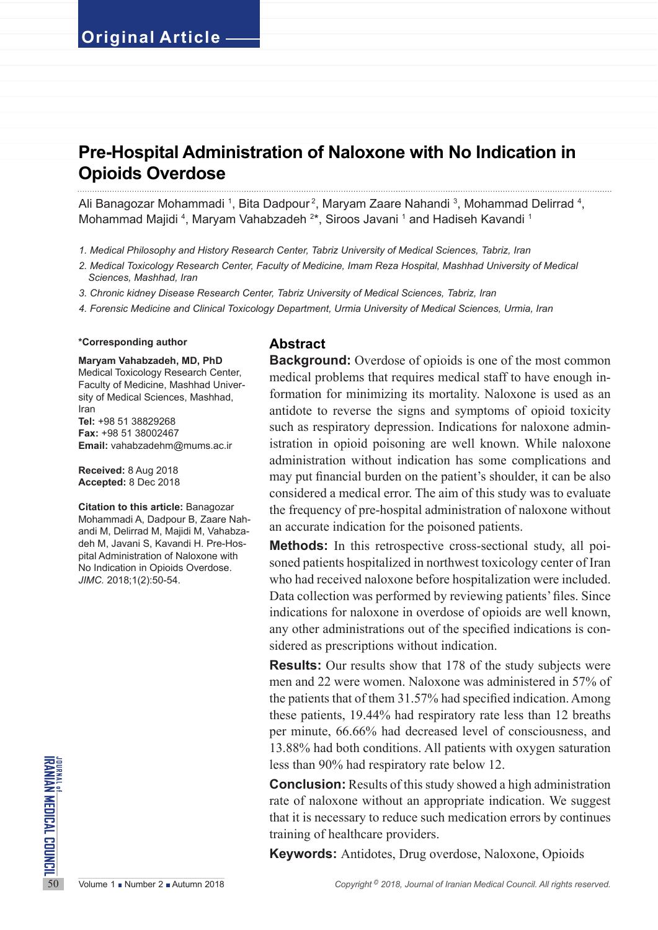# **Pre-Hospital Administration of Naloxone with No Indication in Opioids Overdose**

Ali Banagozar Mohammadi <sup>1</sup>, Bita Dadpour<sup>2</sup>, Maryam Zaare Nahandi <sup>3</sup>, Mohammad Delirrad <sup>4</sup>, Mohammad Majidi <sup>4</sup>, Maryam Vahabzadeh <sup>2\*</sup>, Siroos Javani <sup>1</sup> and Hadiseh Kavandi <sup>1</sup>

- *1. Medical Philosophy and History Research Center, Tabriz University of Medical Sciences, Tabriz, Iran*
- *2. Medical Toxicology Research Center, Faculty of Medicine, Imam Reza Hospital, Mashhad University of Medical Sciences, Mashhad, Iran*
- *3. Chronic kidney Disease Research Center, Tabriz University of Medical Sciences, Tabriz, Iran*
- *4. Forensic Medicine and Clinical Toxicology Department, Urmia University of Medical Sciences, Urmia, Iran*

### **\*Corresponding author**

### **Maryam Vahabzadeh, MD, PhD**

Medical Toxicology Research Center, Faculty of Medicine, Mashhad University of Medical Sciences, Mashhad, Iran **Tel:** +98 51 38829268 **Fax:** +98 51 38002467 **Email:** vahabzadehm@mums.ac.ir

**Received:** 8 Aug 2018 **Accepted:** 8 Dec 2018

**Citation to this article:** Banagozar Mohammadi A, Dadpour B, Zaare Nahandi M, Delirrad M, Majidi M, Vahabzadeh M, Javani S, Kavandi H. Pre-Hospital Administration of Naloxone with No Indication in Opioids Overdose. *JIMC.* 2018;1(2):50-54.

## **Abstract**

**Background:** Overdose of opioids is one of the most common medical problems that requires medical staff to have enough information for minimizing its mortality. Naloxone is used as an antidote to reverse the signs and symptoms of opioid toxicity such as respiratory depression. Indications for naloxone administration in opioid poisoning are well known. While naloxone administration without indication has some complications and may put financial burden on the patient's shoulder, it can be also considered a medical error. The aim of this study was to evaluate the frequency of pre-hospital administration of naloxone without an accurate indication for the poisoned patients.

**Methods:** In this retrospective cross-sectional study, all poisoned patients hospitalized in northwest toxicology center of Iran who had received naloxone before hospitalization were included. Data collection was performed by reviewing patients' files. Since indications for naloxone in overdose of opioids are well known, any other administrations out of the specified indications is considered as prescriptions without indication.

**Results:** Our results show that 178 of the study subjects were men and 22 were women. Naloxone was administered in 57% of the patients that of them 31.57% had specified indication. Among these patients, 19.44% had respiratory rate less than 12 breaths per minute, 66.66% had decreased level of consciousness, and 13.88% had both conditions. All patients with oxygen saturation less than 90% had respiratory rate below 12.

**EXECUTE:**<br>
SECUTE:<br>
SECUTE:<br>
SECUTE:<br>
SECUTE:<br>
SECUTE:<br>
SECUTE:<br>
SECUTE:<br>
SECUTE:<br>
SECUTE:<br>
SECUTE:<br>
SECUTE:<br>
SECUTE:<br>
SECUTE:<br>
SECUTE:<br>
SECUTE:<br>
SECUTE:<br>
SECUTE:<br>
SECUTE:<br>
SECUTE:<br>
SECUTE:<br>
SECUTE:<br>
SECUTE:<br>
SECUTE:<br>
SEC **Conclusion:** Results of this study showed a high administration rate of naloxone without an appropriate indication. We suggest that it is necessary to reduce such medication errors by continues training of healthcare providers.

**Keywords:** Antidotes, Drug overdose, Naloxone, Opioids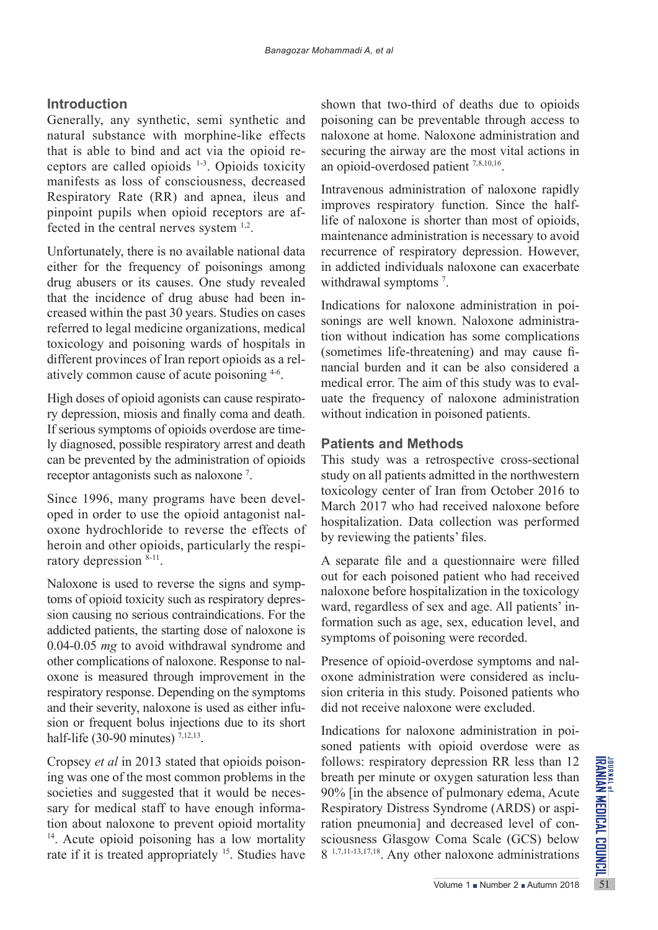# **Introduction**

Generally, any synthetic, semi synthetic and natural substance with morphine-like effects that is able to bind and act via the opioid receptors are called opioids 1-3. Opioids toxicity manifests as loss of consciousness, decreased Respiratory Rate (RR) and apnea, ileus and pinpoint pupils when opioid receptors are affected in the central nerves system 1,2.

Unfortunately, there is no available national data either for the frequency of poisonings among drug abusers or its causes. One study revealed that the incidence of drug abuse had been increased within the past 30 years. Studies on cases referred to legal medicine organizations, medical toxicology and poisoning wards of hospitals in different provinces of Iran report opioids as a relatively common cause of acute poisoning 4-6.

High doses of opioid agonists can cause respiratory depression, miosis and finally coma and death. If serious symptoms of opioids overdose are timely diagnosed, possible respiratory arrest and death can be prevented by the administration of opioids receptor antagonists such as naloxone 7 .

Since 1996, many programs have been developed in order to use the opioid antagonist naloxone hydrochloride to reverse the effects of heroin and other opioids, particularly the respiratory depression 8-11.

Naloxone is used to reverse the signs and symptoms of opioid toxicity such as respiratory depression causing no serious contraindications. For the addicted patients, the starting dose of naloxone is 0.04-0.05 *mg* to avoid withdrawal syndrome and other complications of naloxone. Response to naloxone is measured through improvement in the respiratory response. Depending on the symptoms and their severity, naloxone is used as either infusion or frequent bolus injections due to its short half-life (30-90 minutes)  $^{7,12,13}$ .

Cropsey *et al* in 2013 stated that opioids poisoning was one of the most common problems in the societies and suggested that it would be necessary for medical staff to have enough information about naloxone to prevent opioid mortality <sup>14</sup>. Acute opioid poisoning has a low mortality rate if it is treated appropriately <sup>15</sup>. Studies have

shown that two-third of deaths due to opioids poisoning can be preventable through access to naloxone at home. Naloxone administration and securing the airway are the most vital actions in an opioid-overdosed patient 7,8,10,16.

Intravenous administration of naloxone rapidly improves respiratory function. Since the halflife of naloxone is shorter than most of opioids, maintenance administration is necessary to avoid recurrence of respiratory depression. However, in addicted individuals naloxone can exacerbate withdrawal symptoms<sup>7</sup>.

Indications for naloxone administration in poisonings are well known. Naloxone administration without indication has some complications (sometimes life-threatening) and may cause financial burden and it can be also considered a medical error. The aim of this study was to evaluate the frequency of naloxone administration without indication in poisoned patients.

## **Patients and Methods**

This study was a retrospective cross-sectional study on all patients admitted in the northwestern toxicology center of Iran from October 2016 to March 2017 who had received naloxone before hospitalization. Data collection was performed by reviewing the patients' files.

A separate file and a questionnaire were filled out for each poisoned patient who had received naloxone before hospitalization in the toxicology ward, regardless of sex and age. All patients' information such as age, sex, education level, and symptoms of poisoning were recorded.

Presence of opioid-overdose symptoms and naloxone administration were considered as inclusion criteria in this study. Poisoned patients who did not receive naloxone were excluded.

depression RR less than 12<br>
oxygen saturation less than<br>
of pulmonary edema, Acute<br>
Syndrome (ARDS) or aspi-<br>
and decreased level of con-<br>
Coma Scale (GCS) below<br>
er naloxone administrations<br>
Volume 1 • Number 2 • Autumn Indications for naloxone administration in poisoned patients with opioid overdose were as follows: respiratory depression RR less than 12 breath per minute or oxygen saturation less than 90% [in the absence of pulmonary edema, Acute Respiratory Distress Syndrome (ARDS) or aspiration pneumonia] and decreased level of consciousness Glasgow Coma Scale (GCS) below 8 1,7,11-13,17,18. Any other naloxone administrations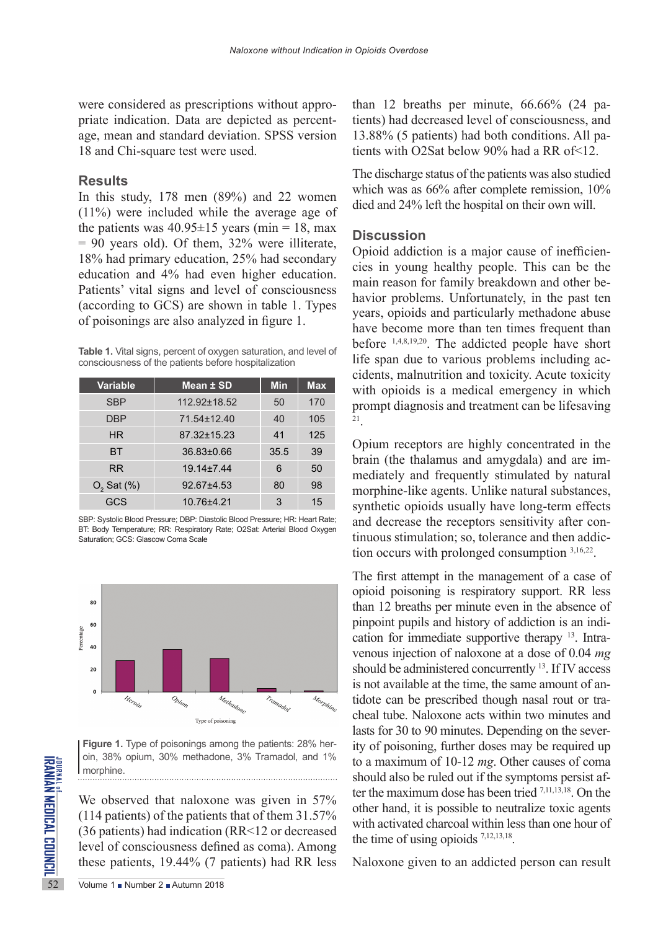were considered as prescriptions without appropriate indication. Data are depicted as percentage, mean and standard deviation. SPSS version 18 and Chi-square test were used.

## **Results**

In this study, 178 men (89%) and 22 women (11%) were included while the average age of the patients was  $40.95 \pm 15$  years (min = 18, max = 90 years old). Of them, 32% were illiterate, 18% had primary education, 25% had secondary education and 4% had even higher education. Patients' vital signs and level of consciousness (according to GCS) are shown in table 1. Types of poisonings are also analyzed in figure 1.

**Table 1.** Vital signs, percent of oxygen saturation, and level of consciousness of the patients before hospitalization

| Variable        | <b>Mean ± SD</b> | <b>Min</b> | <b>Max</b> |
|-----------------|------------------|------------|------------|
| <b>SBP</b>      | 112.92±18.52     | 50         | 170        |
| <b>DBP</b>      | 71.54±12.40      | 40         | 105        |
| HR.             | 87.32±15.23      | 41         | 125        |
| ВT              | $36.83 \pm 0.66$ | 35.5       | 39         |
| <b>RR</b>       | $19.14 \pm 7.44$ | 6          | 50         |
| $O2$ Sat $(\%)$ | $92.67 + 4.53$   | 80         | 98         |
| GCS             | 10.76±4.21       | 3          | 15         |

SBP: Systolic Blood Pressure; DBP: Diastolic Blood Pressure; HR: Heart Rate; BT: Body Temperature; RR: Respiratory Rate; O2Sat: Arterial Blood Oxygen Saturation; GCS: Glascow Coma Scale



**Figure 1.** Type of poisonings among the patients: 28% heroin, 38% opium, 30% methadone, 3% Tramadol, and 1% morphine.

SURVEY OUT, 38% Option, 30% methodor<br>
morphine.<br>
We observed that naloxon<br>
(114 patients) of the patient:<br>
(36 patients) had indication<br>
level of consciousness defit<br>
these patients,  $19.44\%$  (7 p<br>  $\frac{1}{52}$ <br>
Volume 1 N We observed that naloxone was given in 57% (114 patients) of the patients that of them 31.57% (36 patients) had indication (RR<12 or decreased level of consciousness defined as coma). Among these patients, 19.44% (7 patients) had RR less than 12 breaths per minute, 66.66% (24 patients) had decreased level of consciousness, and 13.88% (5 patients) had both conditions. All patients with O2Sat below 90% had a RR of<12.

The discharge status of the patients was also studied which was as 66% after complete remission, 10% died and 24% left the hospital on their own will.

## **Discussion**

Opioid addiction is a major cause of inefficiencies in young healthy people. This can be the main reason for family breakdown and other behavior problems. Unfortunately, in the past ten years, opioids and particularly methadone abuse have become more than ten times frequent than before 1,4,8,19,20. The addicted people have short life span due to various problems including accidents, malnutrition and toxicity. Acute toxicity with opioids is a medical emergency in which prompt diagnosis and treatment can be lifesaving 21.

Opium receptors are highly concentrated in the brain (the thalamus and amygdala) and are immediately and frequently stimulated by natural morphine-like agents. Unlike natural substances, synthetic opioids usually have long-term effects and decrease the receptors sensitivity after continuous stimulation; so, tolerance and then addiction occurs with prolonged consumption 3,16,22.

The first attempt in the management of a case of opioid poisoning is respiratory support. RR less than 12 breaths per minute even in the absence of pinpoint pupils and history of addiction is an indication for immediate supportive therapy 13. Intravenous injection of naloxone at a dose of 0.04 *mg* should be administered concurrently 13. If IV access is not available at the time, the same amount of antidote can be prescribed though nasal rout or tracheal tube. Naloxone acts within two minutes and lasts for 30 to 90 minutes. Depending on the severity of poisoning, further doses may be required up to a maximum of 10-12 *mg*. Other causes of coma should also be ruled out if the symptoms persist after the maximum dose has been tried 7,11,13,18. On the other hand, it is possible to neutralize toxic agents with activated charcoal within less than one hour of the time of using opioids  $7,12,13,18$ .

Naloxone given to an addicted person can result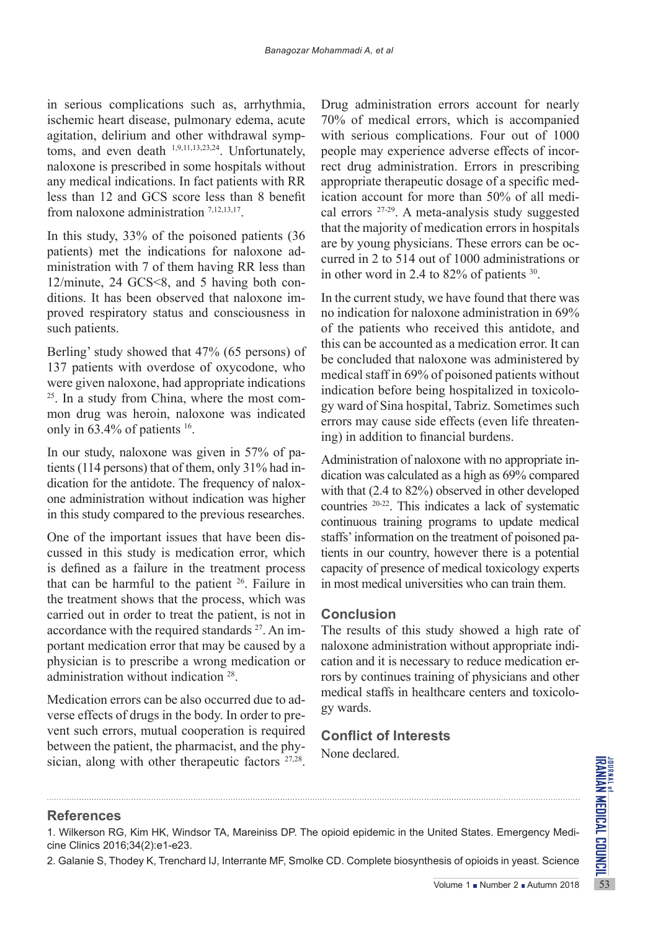in serious complications such as, arrhythmia, ischemic heart disease, pulmonary edema, acute agitation, delirium and other withdrawal symptoms, and even death 1,9,11,13,23,24. Unfortunately, naloxone is prescribed in some hospitals without any medical indications. In fact patients with RR less than 12 and GCS score less than 8 benefit from naloxone administration 7,12,13,17.

In this study, 33% of the poisoned patients (36 patients) met the indications for naloxone administration with 7 of them having RR less than 12/minute, 24 GCS<8, and 5 having both conditions. It has been observed that naloxone improved respiratory status and consciousness in such patients.

Berling' study showed that 47% (65 persons) of 137 patients with overdose of oxycodone, who were given naloxone, had appropriate indications 25. In a study from China, where the most common drug was heroin, naloxone was indicated only in 63.4% of patients 16.

In our study, naloxone was given in 57% of patients (114 persons) that of them, only 31% had indication for the antidote. The frequency of naloxone administration without indication was higher in this study compared to the previous researches.

One of the important issues that have been discussed in this study is medication error, which is defined as a failure in the treatment process that can be harmful to the patient  $26$ . Failure in the treatment shows that the process, which was carried out in order to treat the patient, is not in accordance with the required standards 27. An important medication error that may be caused by a physician is to prescribe a wrong medication or administration without indication 28.

Medication errors can be also occurred due to adverse effects of drugs in the body. In order to prevent such errors, mutual cooperation is required between the patient, the pharmacist, and the physician, along with other therapeutic factors <sup>27,28</sup>.

Drug administration errors account for nearly 70% of medical errors, which is accompanied with serious complications. Four out of 1000 people may experience adverse effects of incorrect drug administration. Errors in prescribing appropriate therapeutic dosage of a specific medication account for more than 50% of all medical errors 27-29. A meta-analysis study suggested that the majority of medication errors in hospitals are by young physicians. These errors can be occurred in 2 to 514 out of 1000 administrations or in other word in 2.4 to 82% of patients 30.

In the current study, we have found that there was no indication for naloxone administration in 69% of the patients who received this antidote, and this can be accounted as a medication error. It can be concluded that naloxone was administered by medical staff in 69% of poisoned patients without indication before being hospitalized in toxicology ward of Sina hospital, Tabriz. Sometimes such errors may cause side effects (even life threatening) in addition to financial burdens.

Administration of naloxone with no appropriate indication was calculated as a high as 69% compared with that (2.4 to 82%) observed in other developed countries 20-22. This indicates a lack of systematic continuous training programs to update medical staffs' information on the treatment of poisoned patients in our country, however there is a potential capacity of presence of medical toxicology experts in most medical universities who can train them.

## **Conclusion**

The results of this study showed a high rate of naloxone administration without appropriate indication and it is necessary to reduce medication errors by continues training of physicians and other medical staffs in healthcare centers and toxicology wards.

## **Conflict of Interests**

None declared.

## **References**

VOLUME 1 = Number 2 = Autumn 2018<br>Volume 1 = Number 2 = Autumn 2018<br>Volume 1 = Number 2 = Autumn 2018 1. Wilkerson RG, Kim HK, Windsor TA, Mareiniss DP. The opioid epidemic in the United States. Emergency Medicine Clinics 2016;34(2):e1-e23.

2. Galanie S, Thodey K, Trenchard IJ, Interrante MF, Smolke CD. Complete biosynthesis of opioids in yeast. Science